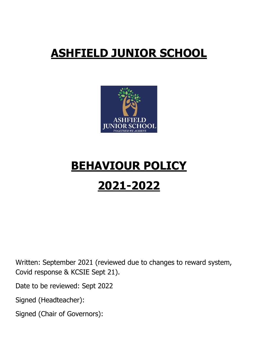# **ASHFIELD JUNIOR SCHOOL**



# **BEHAVIOUR POLICY**

# **2021-2022**

Written: September 2021 (reviewed due to changes to reward system, Covid response & KCSIE Sept 21).

Date to be reviewed: Sept 2022

Signed (Headteacher):

Signed (Chair of Governors):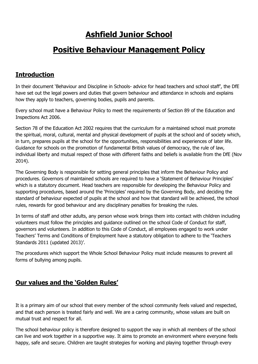### **Ashfield Junior School**

### **Positive Behaviour Management Policy**

#### **Introduction**

In their document 'Behaviour and Discipline in Schools- advice for head teachers and school staff', the DfE have set out the legal powers and duties that govern behaviour and attendance in schools and explains how they apply to teachers, governing bodies, pupils and parents.

Every school must have a Behaviour Policy to meet the requirements of Section 89 of the Education and Inspections Act 2006.

Section 78 of the Education Act 2002 requires that the curriculum for a maintained school must promote the spiritual, moral, cultural, mental and physical development of pupils at the school and of society which, in turn, prepares pupils at the school for the opportunities, responsibilities and experiences of later life. Guidance for schools on the promotion of fundamental British values of democracy, the rule of law, individual liberty and mutual respect of those with different faiths and beliefs is available from the DfE (Nov 2014).

The Governing Body is responsible for setting general principles that inform the Behaviour Policy and procedures. Governors of maintained schools are required to have a 'Statement of Behaviour Principles' which is a statutory document. Head teachers are responsible for developing the Behaviour Policy and supporting procedures, based around the 'Principles' required by the Governing Body, and deciding the standard of behaviour expected of pupils at the school and how that standard will be achieved, the school rules, rewards for good behaviour and any disciplinary penalties for breaking the rules.

In terms of staff and other adults, any person whose work brings them into contact with children including volunteers must follow the principles and guidance outlined on the school Code of Conduct for staff, governors and volunteers. In addition to this Code of Conduct, all employees engaged to work under Teachers' Terms and Conditions of Employment have a statutory obligation to adhere to the 'Teachers Standards 2011 (updated 2013)'.

The procedures which support the Whole School Behaviour Policy must include measures to prevent all forms of bullying among pupils.

#### **Our values and the 'Golden Rules'**

It is a primary aim of our school that every member of the school community feels valued and respected, and that each person is treated fairly and well. We are a caring community, whose values are built on mutual trust and respect for all.

The school behaviour policy is therefore designed to support the way in which all members of the school can live and work together in a supportive way. It aims to promote an environment where everyone feels happy, safe and secure. Children are taught strategies for working and playing together through every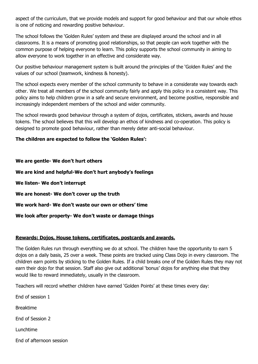aspect of the curriculum, that we provide models and support for good behaviour and that our whole ethos is one of noticing and rewarding positive behaviour.

The school follows the 'Golden Rules' system and these are displayed around the school and in all classrooms. It is a means of promoting good relationships, so that people can work together with the common purpose of helping everyone to learn. This policy supports the school community in aiming to allow everyone to work together in an effective and considerate way.

Our positive behaviour management system is built around the principles of the 'Golden Rules' and the values of our school (teamwork, kindness & honesty).

The school expects every member of the school community to behave in a considerate way towards each other. We treat all members of the school community fairly and apply this policy in a consistent way. This policy aims to help children grow in a safe and secure environment, and become positive, responsible and increasingly independent members of the school and wider community.

The school rewards good behaviour through a system of dojos, certificates, stickers, awards and house tokens. The school believes that this will develop an ethos of kindness and co-operation. This policy is designed to promote good behaviour, rather than merely deter anti-social behaviour.

#### **The children are expected to follow the 'Golden Rules':**

**We are gentle- We don't hurt others We are kind and helpful-We don't hurt anybody's feelings We listen- We don't interrupt We are honest- We don't cover up the truth We work hard- We don't waste our own or others' time We look after property- We don't waste or damage things**

#### **Rewards: Dojos, House tokens, certificates, postcards and awards.**

The Golden Rules run through everything we do at school. The children have the opportunity to earn 5 dojos on a daily basis, 25 over a week. These points are tracked using Class Dojo in every classroom. The children earn points by sticking to the Golden Rules. If a child breaks one of the Golden Rules they may not earn their dojo for that session. Staff also give out additional 'bonus' dojos for anything else that they would like to reward immediately, usually in the classroom.

Teachers will record whether children have earned 'Golden Points' at these times every day:

End of session 1

Breaktime

End of Session 2

Lunchtime

End of afternoon session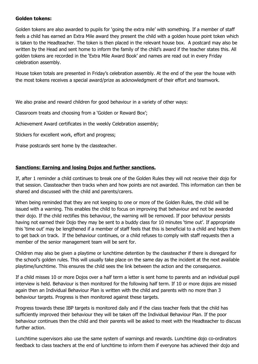#### **Golden tokens:**

Golden tokens are also awarded to pupils for 'going the extra mile' with something. If a member of staff feels a child has earned an Extra Mile award they present the child with a golden house point token which is taken to the Headteacher. The token is then placed in the relevant house box. A postcard may also be written by the Head and sent home to inform the family of the child's award if the teacher states this. All golden tokens are recorded in the 'Extra Mile Award Book' and names are read out in every Friday celebration assembly.

House token totals are presented in Friday's celebration assembly. At the end of the year the house with the most tokens receives a special award/prize as acknowledgment of their effort and teamwork.

We also praise and reward children for good behaviour in a variety of other ways:

Classroom treats and choosing from a 'Golden or Reward Box';

Achievement Award certificates in the weekly Celebration assembly;

Stickers for excellent work, effort and progress;

Praise postcards sent home by the classteacher.

#### **Sanctions: Earning and losing Dojos and further sanctions.**

If, after 1 reminder a child continues to break one of the Golden Rules they will not receive their dojo for that session. Classteacher then tracks when and how points are not awarded. This information can then be shared and discussed with the child and parents/carers.

When being reminded that they are not keeping to one or more of the Golden Rules, the child will be issued with a warning. This enables the child to focus on improving that behaviour and not be awarded their dojo. If the child rectifies this behaviour, the warning will be removed. If poor behaviour persists having not earned their Dojo they may be sent to a buddy class for 10 minutes 'time out'. If appropriate this 'time out' may be lengthened if a member of staff feels that this is beneficial to a child and helps them to get back on track. If the behaviour continues, or a child refuses to comply with staff requests then a member of the senior management team will be sent for.

Children may also be given a playtime or lunchtime detention by the classteacher if there is disregard for the school's golden rules. This will usually take place on the same day as the incident at the next available playtime/lunchtime. This ensures the child sees the link between the action and the consequence.

If a child misses 10 or more Dojos over a half term a letter is sent home to parents and an individual pupil interview is held. Behaviour is then monitored for the following half term. If 10 or more dojos are missed again then an Individual Behaviour Plan is written with the child and parents with no more than 3 behaviour targets. Progress is then monitored against these targets.

Progress towards these IBP targets is monitored daily and if the class teacher feels that the child has sufficiently improved their behaviour they will be taken off the Individual Behaviour Plan. If the poor behaviour continues then the child and their parents will be asked to meet with the Headteacher to discuss further action.

Lunchtime supervisors also use the same system of warnings and rewards. Lunchtime dojo co-ordinators feedback to class teachers at the end of lunchtime to inform them if everyone has achieved their dojo and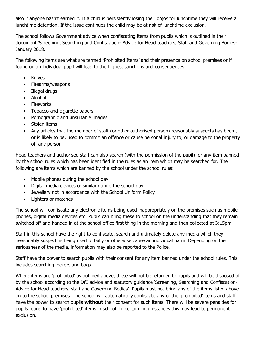also if anyone hasn't earned it. If a child is persistently losing their dojos for lunchtime they will receive a lunchtime detention. If the issue continues the child may be at risk of lunchtime exclusion.

The school follows Government advice when confiscating items from pupils which is outlined in their document 'Screening, Searching and Confiscation- Advice for Head teachers, Staff and Governing Bodies-January 2018.

The following items are what are termed 'Prohibited Items' and their presence on school premises or if found on an individual pupil will lead to the highest sanctions and consequences:

- Knives
- Firearms/weapons
- Illegal drugs
- Alcohol
- Fireworks
- Tobacco and cigarette papers
- Pornographic and unsuitable images
- Stolen items
- Any articles that the member of staff (or other authorised person) reasonably suspects has been , or is likely to be, used to commit an offence or cause personal injury to, or damage to the property of, any person.

Head teachers and authorised staff can also search (with the permission of the pupil) for any item banned by the school rules which has been identified in the rules as an item which may be searched for. The following are items which are banned by the school under the school rules:

- Mobile phones during the school day
- Digital media devices or similar during the school day
- Jewellery not in accordance with the School Uniform Policy
- Lighters or matches

The school will confiscate any electronic items being used inappropriately on the premises such as mobile phones, digital media devices etc. Pupils can bring these to school on the understanding that they remain switched off and handed in at the school office first thing in the morning and then collected at 3:15pm.

Staff in this school have the right to confiscate, search and ultimately delete any media which they 'reasonably suspect' is being used to bully or otherwise cause an individual harm. Depending on the seriousness of the media, information may also be reported to the Police.

Staff have the power to search pupils with their consent for any item banned under the school rules. This includes searching lockers and bags.

Where items are 'prohibited' as outlined above, these will not be returned to pupils and will be disposed of by the school according to the DfE advice and statutory guidance 'Screening, Searching and Confiscation-Advice for Head teachers, staff and Governing Bodies'. Pupils must not bring any of the items listed above on to the school premises. The school will automatically confiscate any of the 'prohibited' items and staff have the power to search pupils **without** their consent for such items. There will be severe penalties for pupils found to have 'prohibited' items in school. In certain circumstances this may lead to permanent exclusion.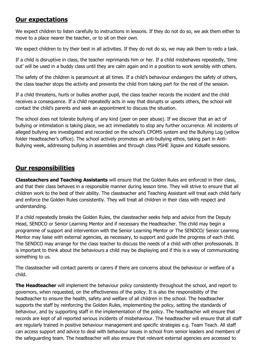#### **Our expectations**

We expect children to listen carefully to instructions in lessons. If they do not do so, we ask them either to move to a place nearer the teacher, or to sit on their own.

We expect children to try their best in all activities. If they do not do so, we may ask them to redo a task.

If a child is disruptive in class, the teacher reprimands him or her. If a child misbehaves repeatedly, 'time out' will be used in a buddy class until they are calm again and in a position to work sensibly with others.

The safety of the children is paramount at all times. If a child's behaviour endangers the safety of others, the class teacher stops the activity and prevents the child from taking part for the rest of the session.

If a child threatens, hurts or bullies another pupil, the class teacher records the incident and the child receives a consequence. If a child repeatedly acts in way that disrupts or upsets others, the school will contact the child's parents and seek an appointment to discuss the situation.

The school does not tolerate bullying of any kind (peer on peer abuse). If we discover that an act of bullying or intimidation is taking place, we act immediately to stop any further occurrence. All incidents of alleged bullying are investigated and recorded on the school's CPOMS system and the Bullying Log (yellow folder Headteacher's office). The school actively promotes an anti-bullying ethos, taking part in Anti-Bullying week, addressing bullying in assemblies and through class PSHE Jigsaw and Kidsafe sessions.

#### **Our responsibilities**

**Classteachers and Teaching Assistants** will ensure that the Golden Rules are enforced in their class, and that their class behaves in a responsible manner during lesson time. They will strive to ensure that all children work to the best of their ability. The classteacher and Teaching Assistant will treat each child fairly and enforce the Golden Rules consistently. They will treat all children in their class with respect and understanding.

If a child repeatedly breaks the Golden Rules, the classteacher seeks help and advice from the Deputy Head, SENDCO or Senior Learning Mentor and if necessary the Headteacher. The child may begin a programme of support and intervention with the Senior Learning Mentor or The SENDCO/ Senior Learning Mentor may liaise with external agencies, as necessary, to support and guide the progress of each child. The SENDCO may arrange for the class teacher to discuss the needs of a child with other professionals. It is important to think about the behaviours a child may be displaying and if this is a way of communicating something to us.

The classteacher will contact parents or carers if there are concerns about the behaviour or welfare of a child.

**The Headteacher** will implement the behaviour policy consistently throughout the school, and report to governors, when requested, on the effectiveness of the policy. It is also the responsibility of the headteacher to ensure the health, safety and welfare of all children in the school. The headteacher supports the staff by reinforcing the Golden Rules, implementing the policy, setting the standards of behaviour, and by supporting staff in the implementation of the policy. The headteacher will ensure that records are kept of all reported serious incidents of misbehaviour. The headteacher will ensure that all staff are regularly trained in positive behaviour management and specific strategies e.g. Team Teach. All staff can access support and advice to deal with behaviour issues in school from senior leaders and members of the safeguarding team. The headteacher will also ensure that relevant external agencies are accessed to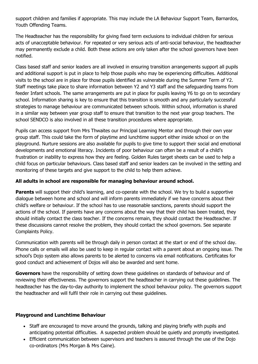support children and families if appropriate. This may include the LA Behaviour Support Team, Barnardos, Youth Offending Teams.

The Headteacher has the responsibility for giving fixed term exclusions to individual children for serious acts of unacceptable behaviour. For repeated or very serious acts of anti-social behaviour, the headteacher may permanently exclude a child. Both these actions are only taken after the school governors have been notified.

Class based staff and senior leaders are all involved in ensuring transition arrangements support all pupils and additional support is put in place to help those pupils who may be experiencing difficulties. Additional visits to the school are in place for those pupils identified as vulnerable during the Summer Term of Y2. Staff meetings take place to share information between Y2 and Y3 staff and the safeguarding teams from feeder Infant schools. The same arrangements are put in place for pupils leaving Y6 to go on to secondary school. Information sharing is key to ensure that this transition is smooth and any particularly successful strategies to manage behaviour are communicated between schools. Within school, information is shared in a similar way between year group staff to ensure that transition to the next year group teachers. The school SENDCO is also involved in all these transition procedures where appropriate.

Pupils can access support from Mrs Thwaites our Principal Learning Mentor and through their own year group staff. This could take the form of playtime and lunchtime support either inside school or on the playground. Nurture sessions are also available for pupils to give time to support their social and emotional developments and emotional literacy. Incidents of poor behaviour can often be a result of a child's frustration or inability to express how they are feeling. Golden Rules target sheets can be used to help a child focus on particular behaviours. Class based staff and senior leaders can be involved in the setting and monitoring of these targets and give support to the child to help them achieve.

#### **All adults in school are responsible for managing behaviour around school.**

**Parents** will support their child's learning, and co-operate with the school. We try to build a supportive dialogue between home and school and will inform parents immediately if we have concerns about their child's welfare or behaviour. If the school has to use reasonable sanctions, parents should support the actions of the school. If parents have any concerns about the way that their child has been treated, they should initially contact the class teacher. If the concerns remain, they should contact the Headteacher. If these discussions cannot resolve the problem, they should contact the school governors. See separate Complaints Policy.

Communication with parents will be through daily in person contact at the start or end of the school day. Phone calls or emails will also be used to keep in regular contact with a parent about an ongoing issue. The school's Dojo system also allows parents to be alerted to concerns via email notifications. Certificates for good conduct and achievement of Dojos will also be awarded and sent home.

**Governors** have the responsibility of setting down these guidelines on standards of behaviour and of reviewing their effectiveness. The governors support the headteacher in carrying out these guidelines. The headteacher has the day-to-day authority to implement the school behaviour policy. The governors support the headteacher and will fulfil their role in carrying out these guidelines.

#### **Playground and Lunchtime Behaviour**

- Staff are encouraged to move around the grounds, talking and playing briefly with pupils and anticipating potential difficulties. A suspected problem should be quietly and promptly investigated.
- Efficient communication between supervisors and teachers is assured through the use of the Dojo co-ordinators (Mrs Morgan & Mrs Caine).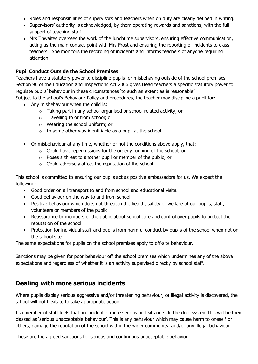- Roles and responsibilities of supervisors and teachers when on duty are clearly defined in writing.
- Supervisors' authority is acknowledged, by them operating rewards and sanctions, with the full support of teaching staff.
- Mrs Thwaites oversees the work of the lunchtime supervisors, ensuring effective communication, acting as the main contact point with Mrs Frost and ensuring the reporting of incidents to class teachers. She monitors the recording of incidents and informs teachers of anyone requiring attention.

#### **Pupil Conduct Outside the School Premises**

Teachers have a statutory power to discipline pupils for misbehaving outside of the school premises. Section 90 of the Education and Inspections Act 2006 gives Head teachers a specific statutory power to regulate pupils' behaviour in these circumstances 'to such an extent as is reasonable'.

Subject to the school's Behaviour Policy and procedures, the teacher may discipline a pupil for:

- Any misbehaviour when the child is:
	- o Taking part in any school-organised or school-related activity; or
	- o Travelling to or from school; or
	- o Wearing the school uniform; or
	- $\circ$  In some other way identifiable as a pupil at the school.
- Or misbehaviour at any time, whether or not the conditions above apply, that:
	- o Could have repercussions for the orderly running of the school; or
	- o Poses a threat to another pupil or member of the public; or
	- o Could adversely affect the reputation of the school.

This school is committed to ensuring our pupils act as positive ambassadors for us. We expect the following:

- Good order on all transport to and from school and educational visits.
- Good behaviour on the way to and from school.
- Positive behaviour which does not threaten the health, safety or welfare of our pupils, staff, volunteers or members of the public.
- Reassurance to members of the public about school care and control over pupils to protect the reputation of the school.
- Protection for individual staff and pupils from harmful conduct by pupils of the school when not on the school site.

The same expectations for pupils on the school premises apply to off-site behaviour.

Sanctions may be given for poor behaviour off the school premises which undermines any of the above expectations and regardless of whether it is an activity supervised directly by school staff.

#### **Dealing with more serious incidents**

Where pupils display serious aggressive and/or threatening behaviour, or illegal activity is discovered, the school will not hesitate to take appropriate action.

If a member of staff feels that an incident is more serious and sits outside the dojo system this will be then classed as 'serious unacceptable behaviour'. This is any behaviour which may cause harm to oneself or others, damage the reputation of the school within the wider community, and/or any illegal behaviour.

These are the agreed sanctions for serious and continuous unacceptable behaviour: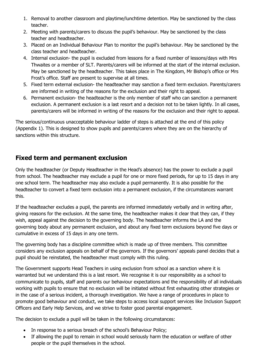- 1. Removal to another classroom and playtime/lunchtime detention. May be sanctioned by the class teacher.
- 2. Meeting with parents/carers to discuss the pupil's behaviour. May be sanctioned by the class teacher and headteacher.
- 3. Placed on an Individual Behaviour Plan to monitor the pupil's behaviour. May be sanctioned by the class teacher and headteacher.
- 4. Internal exclusion- the pupil is excluded from lessons for a fixed number of lessons/days with Mrs Thwaites or a member of SLT. Parents/carers will be informed at the start of the internal exclusion. May be sanctioned by the headteacher. This takes place in The Kingdom, Mr Bishop's office or Mrs Frost's office. Staff are present to supervise at all times.
- 5. Fixed term external exclusion- the headteacher may sanction a fixed term exclusion. Parents/carers are informed in writing of the reasons for the exclusion and their right to appeal.
- 6. Permanent exclusion- the headteacher is the only member of staff who can sanction a permanent exclusion. A permanent exclusion is a last resort and a decision not to be taken lightly. In all cases, parents/carers will be informed in writing of the reasons for the exclusion and their right to appeal.

The serious/continuous unacceptable behaviour ladder of steps is attached at the end of this policy (Appendix 1). This is designed to show pupils and parents/carers where they are on the hierarchy of sanctions within this structure.

#### **Fixed term and permanent exclusion**

Only the headteacher (or Deputy Headteacher in the Head's absence) has the power to exclude a pupil from school. The headteacher may exclude a pupil for one or more fixed periods, for up to 15 days in any one school term. The headteacher may also exclude a pupil permanently. It is also possible for the headteacher to convert a fixed term exclusion into a permanent exclusion, if the circumstances warrant this.

If the headteacher excludes a pupil, the parents are informed immediately verbally and in writing after, giving reasons for the exclusion. At the same time, the headteacher makes it clear that they can, if they wish, appeal against the decision to the governing body. The headteacher informs the LA and the governing body about any permanent exclusion, and about any fixed term exclusions beyond five days or cumulative in excess of 15 days in any one term.

The governing body has a discipline committee which is made up of three members. This committee considers any exclusion appeals on behalf of the governors. If the governors' appeals panel decides that a pupil should be reinstated, the headteacher must comply with this ruling.

The Government supports Head Teachers in using exclusion from school as a sanction where it is warranted but we understand this is a last resort. We recognise it is our responsibility as a school to communicate to pupils, staff and parents our behaviour expectations and the responsibility of all individuals working with pupils to ensure that no exclusion will be initiated without first exhausting other strategies or in the case of a serious incident, a thorough investigation. We have a range of procedures in place to promote good behaviour and conduct, we take steps to access local support services like Inclusion Support Officers and Early Help Services, and we strive to foster good parental engagement.

The decision to exclude a pupil will be taken in the following circumstances:

- In response to a serious breach of the school's Behaviour Policy;
- If allowing the pupil to remain in school would seriously harm the education or welfare of other people or the pupil themselves in the school.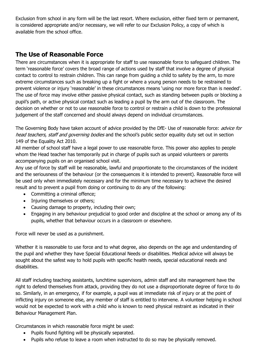Exclusion from school in any form will be the last resort. Where exclusion, either fixed term or permanent, is considered appropriate and/or necessary, we will refer to our Exclusion Policy, a copy of which is available from the school office.

#### **The Use of Reasonable Force**

There are circumstances when it is appropriate for staff to use reasonable force to safeguard children. The term 'reasonable force' covers the broad range of actions used by staff that involve a degree of physical contact to control to restrain children. This can range from guiding a child to safety by the arm, to more extreme circumstances such as breaking up a fight or where a young person needs to be restrained to prevent violence or injury 'reasonable' in these circumstances means 'using nor more force than is needed'. The use of force may involve either passive physical contact, such as standing between pupils or blocking a pupil's path, or active physical contact such as leading a pupil by the arm out of the classroom. The decision on whether or not to use reasonable force to control or restrain a child is down to the professional judgement of the staff concerned and should always depend on individual circumstances.

The Governing Body have taken account of advice provided by the DfE- Use of reasonable force: *advice for* head teachers, staff and governing bodies and the school's public sector equality duty set out in section 149 of the Equality Act 2010.

All member of school staff have a legal power to use reasonable force. This power also applies to people whom the Head teacher has temporarily put in charge of pupils such as unpaid volunteers or parents accompanying pupils on an organised school visit.

Any use of force by staff will be reasonable, lawful and proportionate to the circumstances of the incident and the seriousness of the behaviour (or the consequences it is intended to prevent). Reasonable force will be used only when immediately necessary and for the minimum time necessary to achieve the desired result and to prevent a pupil from doing or continuing to do any of the following:

- Committing a criminal offence;
- Injuring themselves or others;
- Causing damage to property, including their own;
- Engaging in any behaviour prejudicial to good order and discipline at the school or among any of its pupils, whether that behaviour occurs in a classroom or elsewhere.

Force will never be used as a punishment.

Whether it is reasonable to use force and to what degree, also depends on the age and understanding of the pupil and whether they have Special Educational Needs or disabilities. Medical advice will always be sought about the safest way to hold pupils with specific health needs, special educational needs and disabilities.

All staff including teaching assistants, lunchtime supervisors, admin staff and site management have the right to defend themselves from attack, providing they do not use a disproportionate degree of force to do so. Similarly, in an emergency, if for example, a pupil was at immediate risk of injury or at the point of inflicting injury on someone else, any member of staff is entitled to intervene. A volunteer helping in school would not be expected to work with a child who is known to need physical restraint as indicated in their Behaviour Management Plan.

Circumstances in which reasonable force might be used:

- Pupils found fighting will be physically separated.
- Pupils who refuse to leave a room when instructed to do so may be physically removed.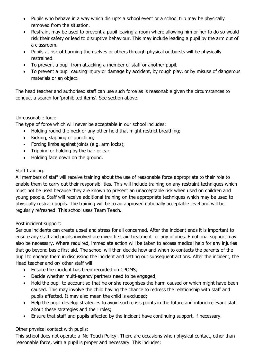- Pupils who behave in a way which disrupts a school event or a school trip may be physically removed from the situation.
- Restraint may be used to prevent a pupil leaving a room where allowing him or her to do so would risk their safety or lead to disruptive behaviour. This may include leading a pupil by the arm out of a classroom.
- Pupils at risk of harming themselves or others through physical outbursts will be physically restrained.
- To prevent a pupil from attacking a member of staff or another pupil.
- To prevent a pupil causing injury or damage by accident, by rough play, or by misuse of dangerous materials or an object.

The head teacher and authorised staff can use such force as is reasonable given the circumstances to conduct a search for 'prohibited items'. See section above.

#### Unreasonable force:

The type of force which will never be acceptable in our school includes:

- Holding round the neck or any other hold that might restrict breathing:
- Kicking, slapping or punching;
- Forcing limbs against joints (e.g. arm locks);
- Tripping or holding by the hair or ear;
- Holding face down on the ground.

#### Staff training:

All members of staff will receive training about the use of reasonable force appropriate to their role to enable them to carry out their responsibilities. This will include training on any restraint techniques which must not be used because they are known to present an unacceptable risk when used on children and young people. Staff will receive additional training on the appropriate techniques which may be used to physically restrain pupils. The training will be to an approved nationally acceptable level and will be regularly refreshed. This school uses Team Teach.

#### Post incident support:

Serious incidents can create upset and stress for all concerned. After the incident ends it is important to ensure any staff and pupils involved are given first aid treatment for any injuries. Emotional support may also be necessary. Where required, immediate action will be taken to access medical help for any injuries that go beyond basic first aid. The school will then decide how and when to contacts the parents of the pupil to engage them in discussing the incident and setting out subsequent actions. After the incident, the Head teacher and or/ other staff will:

- Ensure the incident has been recorded on CPOMS;
- Decide whether multi-agency partners need to be engaged;
- Hold the pupil to account so that he or she recognises the harm caused or which might have been caused. This may involve the child having the chance to redress the relationship with staff and pupils affected. It may also mean the child is excluded;
- Help the pupil develop strategies to avoid such crisis points in the future and inform relevant staff about these strategies and their roles;
- Ensure that staff and pupils affected by the incident have continuing support, if necessary.

#### Other physical contact with pupils:

This school does not operate a 'No Touch Policy'. There are occasions when physical contact, other than reasonable force, with a pupil is proper and necessary. This includes: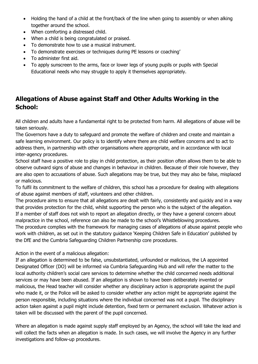- Holding the hand of a child at the front/back of the line when going to assembly or when alking together around the school.
- When comforting a distressed child.
- When a child is being congratulated or praised.
- To demonstrate how to use a musical instrument.
- To demonstrate exercises or techniques during PE lessons or coaching'
- To administer first aid.
- To apply sunscreen to the arms, face or lower legs of young pupils or pupils with Special Educational needs who may struggle to apply it themselves appropriately.

### **Allegations of Abuse against Staff and Other Adults Working in the School:**

All children and adults have a fundamental right to be protected from harm. All allegations of abuse will be taken seriously.

The Governors have a duty to safeguard and promote the welfare of children and create and maintain a safe learning environment. Our policy is to identify where there are child welfare concerns and to act to address them, in partnership with other organisations where appropriate, and in accordance with local inter-agency procedures.

School staff have a positive role to play in child protection, as their position often allows them to be able to observe outward signs of abuse and changes in behaviour in children. Because of their role however, they are also open to accusations of abuse. Such allegations may be true, but they may also be false, misplaced or malicious.

To fulfil its commitment to the welfare of children, this school has a procedure for dealing with allegations of abuse against members of staff, volunteers and other children.

The procedure aims to ensure that all allegations are dealt with fairly, consistently and quickly and in a way that provides protection for the child, whilst supporting the person who is the subject of the allegation. If a member of staff does not wish to report an allegation directly, or they have a general concern about malpractice in the school, reference can also be made to the school's Whistleblowing procedures. The procedure complies with the framework for managing cases of allegations of abuse against people who

work with children, as set out in the statutory guidance 'Keeping Children Safe in Education' published by the DfE and the Cumbria Safeguarding Children Partnership core procedures.

Action in the event of a malicious allegation:

If an allegation is determined to be false, unsubstantiated, unfounded or malicious, the LA appointed Designated Officer (DO) will be informed via Cumbria Safeguarding Hub and will refer the matter to the local authority children's social care services to determine whether the child concerned needs additional services or may have been abused. If an allegation is shown to have been deliberately invented or malicious, the Head teacher will consider whether any disciplinary action is appropriate against the pupil who made it, or the Police will be asked to consider whether any action might be appropriate against the person responsible, including situations where the individual concerned was not a pupil. The disciplinary action taken against a pupil might include detention, fixed term or permanent exclusion. Whatever action is taken will be discussed with the parent of the pupil concerned.

Where an allegation is made against supply staff employed by an Agency, the school will take the lead and will collect the facts when an allegation is made. In such cases, we will involve the Agency in any further investigations and follow-up procedures.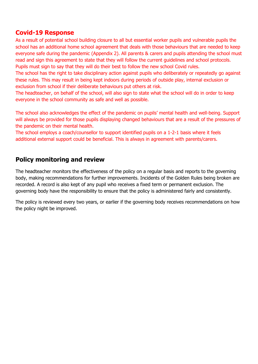#### **Covid-19 Response**

As a result of potential school building closure to all but essential worker pupils and vulnerable pupils the school has an additional home school agreement that deals with those behaviours that are needed to keep everyone safe during the pandemic (Appendix 2). All parents & carers and pupils attending the school must read and sign this agreement to state that they will follow the current guidelines and school protocols. Pupils must sign to say that they will do their best to follow the new school Covid rules.

The school has the right to take disciplinary action against pupils who deliberately or repeatedly go against these rules. This may result in being kept indoors during periods of outside play, internal exclusion or exclusion from school if their deliberate behaviours put others at risk.

The headteacher, on behalf of the school, will also sign to state what the school will do in order to keep everyone in the school community as safe and well as possible.

The school also acknowledges the effect of the pandemic on pupils' mental health and well-being. Support will always be provided for those pupils displaying changed behaviours that are a result of the pressures of the pandemic on their mental health.

The school employs a coach/counsellor to support identified pupils on a 1-2-1 basis where it feels additional external support could be beneficial. This is always in agreement with parents/carers.

#### **Policy monitoring and review**

The headteacher monitors the effectiveness of the policy on a regular basis and reports to the governing body, making recommendations for further improvements. Incidents of the Golden Rules being broken are recorded. A record is also kept of any pupil who receives a fixed term or permanent exclusion. The governing body have the responsibility to ensure that the policy is administered fairly and consistently.

The policy is reviewed every two years, or earlier if the governing body receives recommendations on how the policy night be improved.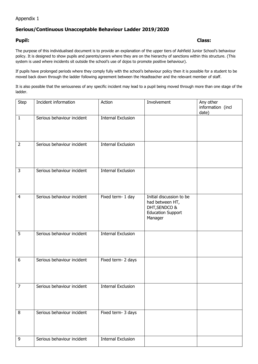#### Appendix 1

#### **Serious/Continuous Unacceptable Behaviour Ladder 2019/2020**

#### **Pupil: Class:**

The purpose of this individualised document is to provide an explanation of the upper tiers of Ashfield Junior School's behaviour policy. It is designed to show pupils and parents/carers where they are on the hierarchy of sanctions within this structure. (This system is used where incidents sit outside the school's use of dojos to promote positive behaviour).

If pupils have prolonged periods where they comply fully with the school's behaviour policy then it is possible for a student to be moved back down through the ladder following agreement between the Headteacher and the relevant member of staff.

It is also possible that the seriousness of any specific incident may lead to a pupil being moved through more than one stage of the ladder.

| Step           | Incident information       | Action                    | Involvement                                                                                         | Any other<br>information (incl<br>date) |
|----------------|----------------------------|---------------------------|-----------------------------------------------------------------------------------------------------|-----------------------------------------|
| $\mathbf{1}$   | Serious behaviour incident | <b>Internal Exclusion</b> |                                                                                                     |                                         |
| $\overline{2}$ | Serious behaviour incident | <b>Internal Exclusion</b> |                                                                                                     |                                         |
| $\overline{3}$ | Serious behaviour incident | <b>Internal Exclusion</b> |                                                                                                     |                                         |
| $\overline{4}$ | Serious behaviour incident | Fixed term- 1 day         | Initial discussion to be<br>had between HT,<br>DHT, SENDCO &<br><b>Education Support</b><br>Manager |                                         |
| 5              | Serious behaviour incident | <b>Internal Exclusion</b> |                                                                                                     |                                         |
| 6              | Serious behaviour incident | Fixed term- 2 days        |                                                                                                     |                                         |
| $\overline{7}$ | Serious behaviour incident | <b>Internal Exclusion</b> |                                                                                                     |                                         |
| 8              | Serious behaviour incident | Fixed term- 3 days        |                                                                                                     |                                         |
| 9              | Serious behaviour incident | <b>Internal Exclusion</b> |                                                                                                     |                                         |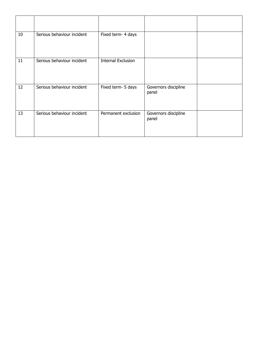| 10 | Serious behaviour incident | Fixed term- 4 days        |                               |  |
|----|----------------------------|---------------------------|-------------------------------|--|
| 11 | Serious behaviour incident | <b>Internal Exclusion</b> |                               |  |
| 12 | Serious behaviour incident | Fixed term- 5 days        | Governors discipline<br>panel |  |
| 13 | Serious behaviour incident | Permanent exclusion       | Governors discipline<br>panel |  |